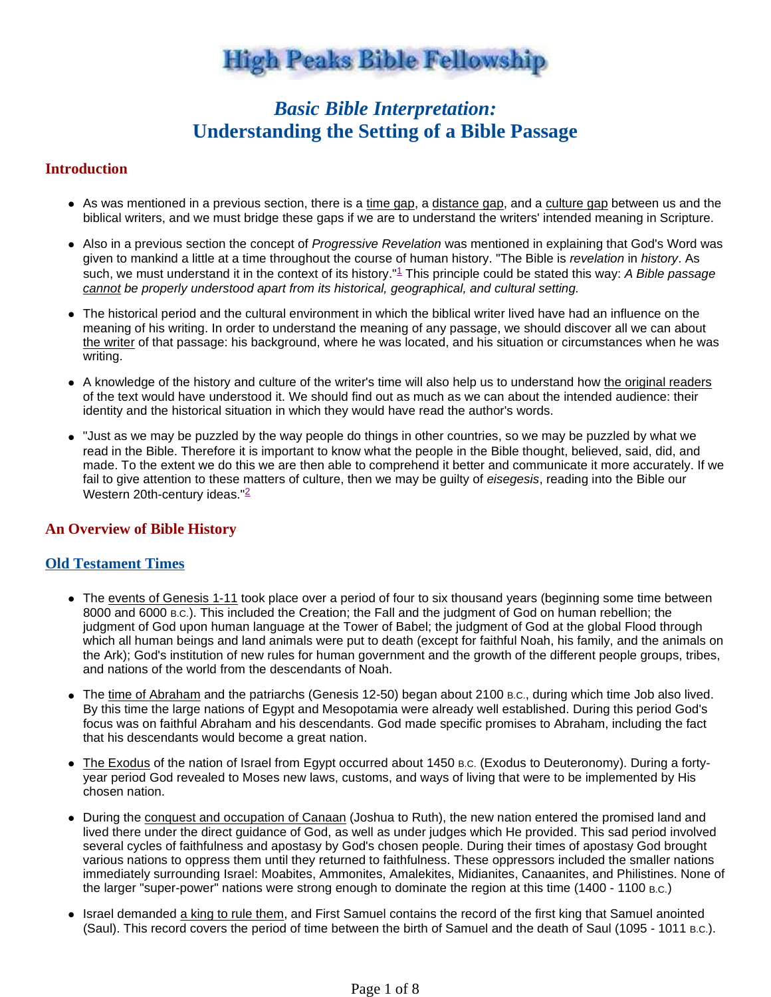# **High Peaks Bible Fellowship**

# *Basic Bible Interpretation:* **Understanding the Setting of a Bible Passage**

# **Introduction**

- As was mentioned in a previous section, there is a time gap, a distance gap, and a culture gap between us and the biblical writers, and we must bridge these gaps if we are to understand the writers' intended meaning in Scripture.
- Also in a previous section the concept of Progressive Revelation was mentioned in explaining that God's Word was given to mankind a little at a time throughout the course of human history. "The Bible is revelation in history. As such, we must understand it in the context of its history."<sup>1</sup> This principle could be stated this way: A Bible passage cannot be properly understood apart from its historical, geographical, and cultural setting.
- The historical period and the cultural environment in which the biblical writer lived have had an influence on the meaning of his writing. In order to understand the meaning of any passage, we should discover all we can about the writer of that passage: his background, where he was located, and his situation or circumstances when he was writing.
- A knowledge of the history and culture of the writer's time will also help us to understand how the original readers of the text would have understood it. We should find out as much as we can about the intended audience: their identity and the historical situation in which they would have read the author's words.
- "Just as we may be puzzled by the way people do things in other countries, so we may be puzzled by what we read in the Bible. Therefore it is important to know what the people in the Bible thought, believed, said, did, and made. To the extent we do this we are then able to comprehend it better and communicate it more accurately. If we fail to give attention to these matters of culture, then we may be guilty of eisegesis, reading into the Bible our Western 20th-century ideas."<sup>2</sup>

#### **An Overview of Bible History**

#### **Old Testament Times**

- The events of Genesis 1-11 took place over a period of four to six thousand years (beginning some time between 8000 and 6000 B.C.). This included the Creation; the Fall and the judgment of God on human rebellion; the judgment of God upon human language at the Tower of Babel; the judgment of God at the global Flood through which all human beings and land animals were put to death (except for faithful Noah, his family, and the animals on the Ark); God's institution of new rules for human government and the growth of the different people groups, tribes, and nations of the world from the descendants of Noah.
- The time of Abraham and the patriarchs (Genesis 12-50) began about 2100 B.C., during which time Job also lived. By this time the large nations of Egypt and Mesopotamia were already well established. During this period God's focus was on faithful Abraham and his descendants. God made specific promises to Abraham, including the fact that his descendants would become a great nation.
- The Exodus of the nation of Israel from Egypt occurred about 1450 B.C. (Exodus to Deuteronomy). During a fortyyear period God revealed to Moses new laws, customs, and ways of living that were to be implemented by His chosen nation.
- During the conquest and occupation of Canaan (Joshua to Ruth), the new nation entered the promised land and lived there under the direct guidance of God, as well as under judges which He provided. This sad period involved several cycles of faithfulness and apostasy by God's chosen people. During their times of apostasy God brought various nations to oppress them until they returned to faithfulness. These oppressors included the smaller nations immediately surrounding Israel: Moabites, Ammonites, Amalekites, Midianites, Canaanites, and Philistines. None of the larger "super-power" nations were strong enough to dominate the region at this time (1400 - 1100 B.C.)
- Israel demanded a king to rule them, and First Samuel contains the record of the first king that Samuel anointed (Saul). This record covers the period of time between the birth of Samuel and the death of Saul (1095 - 1011 B.C.).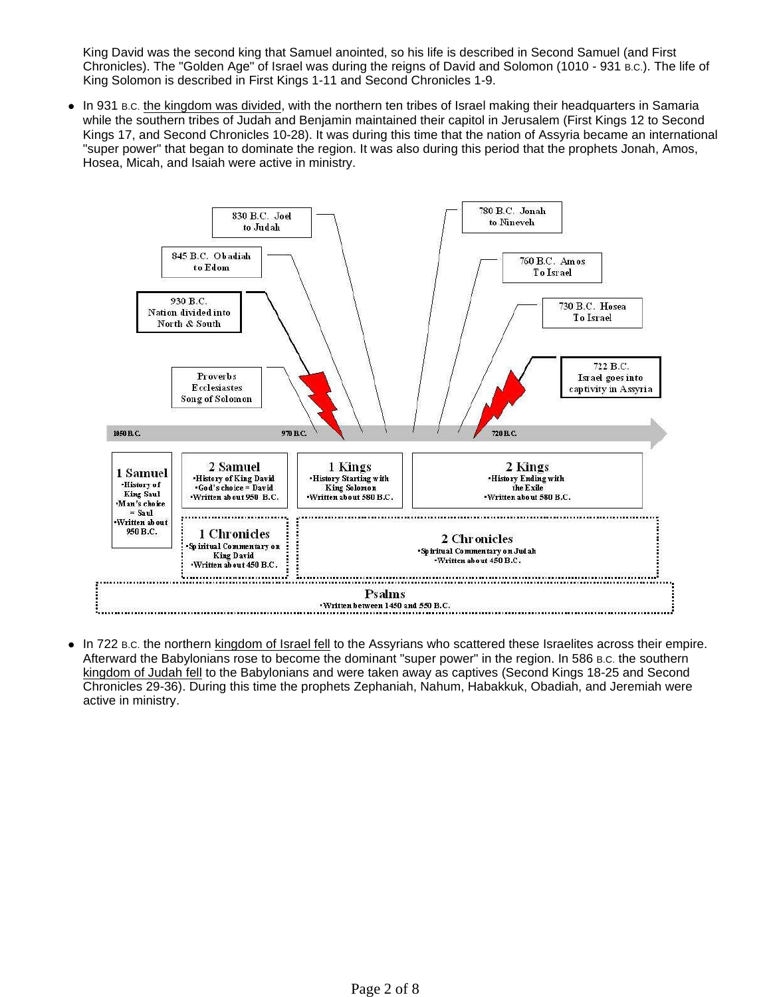King David was the second king that Samuel anointed, so his life is described in Second Samuel (and First Chronicles). The "Golden Age" of Israel was during the reigns of David and Solomon (1010 - 931 B.C.). The life of King Solomon is described in First Kings 1-11 and Second Chronicles 1-9.

• In 931 B.c. the kingdom was divided, with the northern ten tribes of Israel making their headquarters in Samaria while the southern tribes of Judah and Benjamin maintained their capitol in Jerusalem (First Kings 12 to Second Kings 17, and Second Chronicles 10-28). It was during this time that the nation of Assyria became an international "super power" that began to dominate the region. It was also during this period that the prophets Jonah, Amos, Hosea, Micah, and Isaiah were active in ministry.



 In 722 B.C. the northern kingdom of Israel fell to the Assyrians who scattered these Israelites across their empire. Afterward the Babylonians rose to become the dominant "super power" in the region. In 586 B.C. the southern kingdom of Judah fell to the Babylonians and were taken away as captives (Second Kings 18-25 and Second Chronicles 29-36). During this time the prophets Zephaniah, Nahum, Habakkuk, Obadiah, and Jeremiah were active in ministry.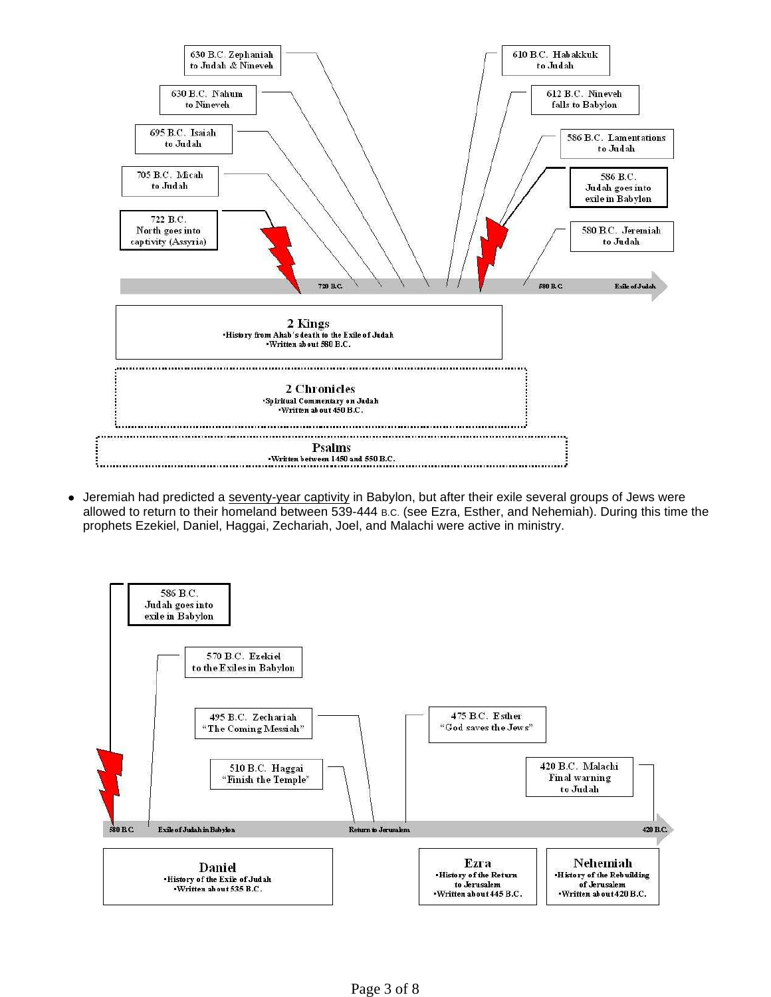

 Jeremiah had predicted a seventy-year captivity in Babylon, but after their exile several groups of Jews were allowed to return to their homeland between 539-444 B.C. (see Ezra, Esther, and Nehemiah). During this time the prophets Ezekiel, Daniel, Haggai, Zechariah, Joel, and Malachi were active in ministry.

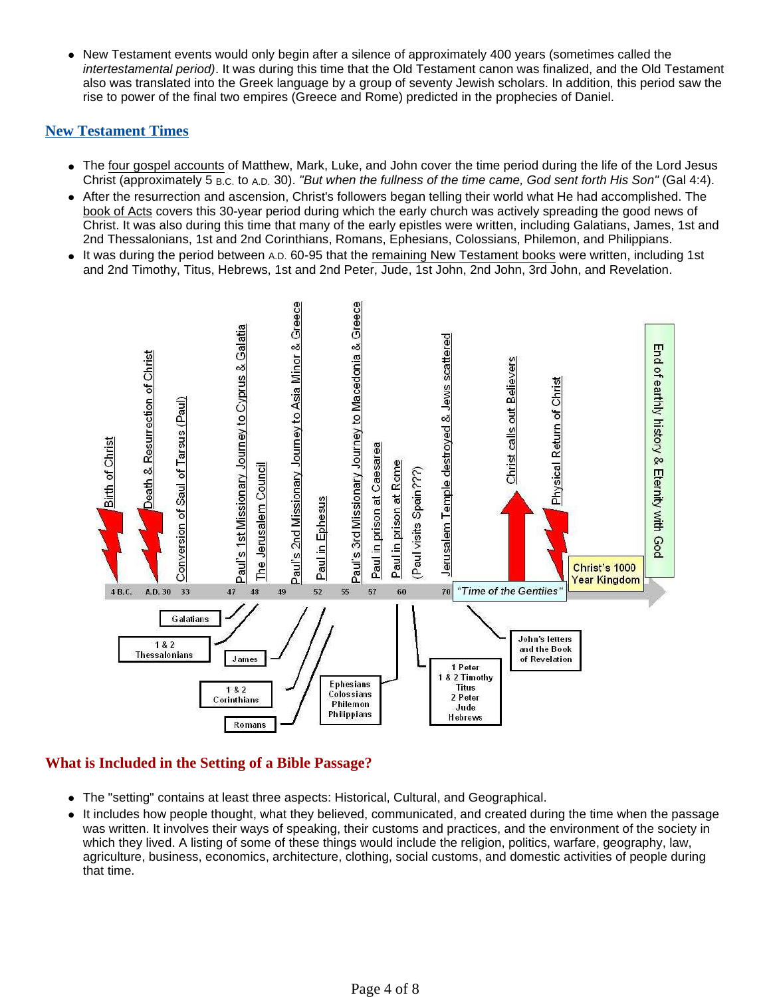• New Testament events would only begin after a silence of approximately 400 years (sometimes called the intertestamental period). It was during this time that the Old Testament canon was finalized, and the Old Testament also was translated into the Greek language by a group of seventy Jewish scholars. In addition, this period saw the rise to power of the final two empires (Greece and Rome) predicted in the prophecies of Daniel.

#### **New Testament Times**

- The four gospel accounts of Matthew, Mark, Luke, and John cover the time period during the life of the Lord Jesus Christ (approximately 5 B.C. to A.D. 30). "But when the fullness of the time came, God sent forth His Son" (Gal 4:4).
- After the resurrection and ascension, Christ's followers began telling their world what He had accomplished. The book of Acts covers this 30-year period during which the early church was actively spreading the good news of Christ. It was also during this time that many of the early epistles were written, including Galatians, James, 1st and 2nd Thessalonians, 1st and 2nd Corinthians, Romans, Ephesians, Colossians, Philemon, and Philippians.
- It was during the period between A.D. 60-95 that the remaining New Testament books were written, including 1st and 2nd Timothy, Titus, Hebrews, 1st and 2nd Peter, Jude, 1st John, 2nd John, 3rd John, and Revelation.



# **What is Included in the Setting of a Bible Passage?**

- The "setting" contains at least three aspects: Historical, Cultural, and Geographical.
- It includes how people thought, what they believed, communicated, and created during the time when the passage was written. It involves their ways of speaking, their customs and practices, and the environment of the society in which they lived. A listing of some of these things would include the religion, politics, warfare, geography, law, agriculture, business, economics, architecture, clothing, social customs, and domestic activities of people during that time.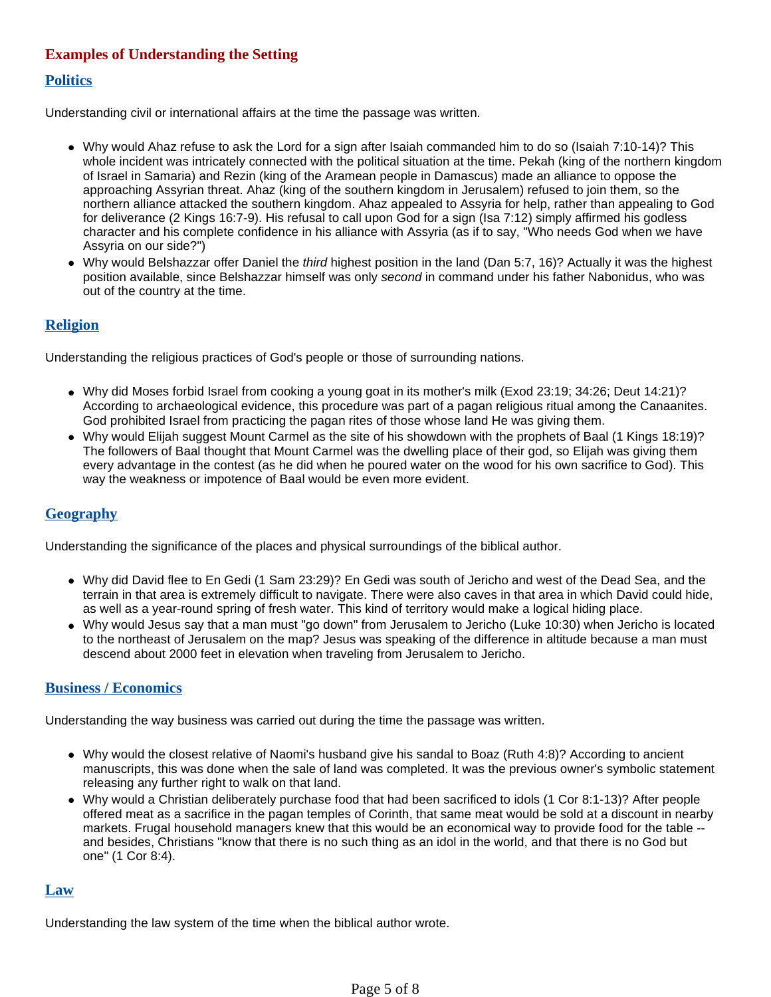# **Examples of Understanding the Setting**

#### **Politics**

Understanding civil or international affairs at the time the passage was written.

- Why would Ahaz refuse to ask the Lord for a sign after Isaiah commanded him to do so (Isaiah 7:10-14)? This whole incident was intricately connected with the political situation at the time. Pekah (king of the northern kingdom of Israel in Samaria) and Rezin (king of the Aramean people in Damascus) made an alliance to oppose the approaching Assyrian threat. Ahaz (king of the southern kingdom in Jerusalem) refused to join them, so the northern alliance attacked the southern kingdom. Ahaz appealed to Assyria for help, rather than appealing to God for deliverance (2 Kings 16:7-9). His refusal to call upon God for a sign (Isa 7:12) simply affirmed his godless character and his complete confidence in his alliance with Assyria (as if to say, "Who needs God when we have Assyria on our side?")
- Why would Belshazzar offer Daniel the *third* highest position in the land (Dan 5:7, 16)? Actually it was the highest position available, since Belshazzar himself was only second in command under his father Nabonidus, who was out of the country at the time.

# **Religion**

Understanding the religious practices of God's people or those of surrounding nations.

- Why did Moses forbid Israel from cooking a young goat in its mother's milk (Exod 23:19; 34:26; Deut 14:21)? According to archaeological evidence, this procedure was part of a pagan religious ritual among the Canaanites. God prohibited Israel from practicing the pagan rites of those whose land He was giving them.
- Why would Elijah suggest Mount Carmel as the site of his showdown with the prophets of Baal (1 Kings 18:19)? The followers of Baal thought that Mount Carmel was the dwelling place of their god, so Elijah was giving them every advantage in the contest (as he did when he poured water on the wood for his own sacrifice to God). This way the weakness or impotence of Baal would be even more evident.

# **Geography**

Understanding the significance of the places and physical surroundings of the biblical author.

- Why did David flee to En Gedi (1 Sam 23:29)? En Gedi was south of Jericho and west of the Dead Sea, and the terrain in that area is extremely difficult to navigate. There were also caves in that area in which David could hide, as well as a year-round spring of fresh water. This kind of territory would make a logical hiding place.
- Why would Jesus say that a man must "go down" from Jerusalem to Jericho (Luke 10:30) when Jericho is located to the northeast of Jerusalem on the map? Jesus was speaking of the difference in altitude because a man must descend about 2000 feet in elevation when traveling from Jerusalem to Jericho.

# **Business / Economics**

Understanding the way business was carried out during the time the passage was written.

- Why would the closest relative of Naomi's husband give his sandal to Boaz (Ruth 4:8)? According to ancient manuscripts, this was done when the sale of land was completed. It was the previous owner's symbolic statement releasing any further right to walk on that land.
- Why would a Christian deliberately purchase food that had been sacrificed to idols (1 Cor 8:1-13)? After people offered meat as a sacrifice in the pagan temples of Corinth, that same meat would be sold at a discount in nearby markets. Frugal household managers knew that this would be an economical way to provide food for the table - and besides, Christians "know that there is no such thing as an idol in the world, and that there is no God but one" (1 Cor 8:4).

#### **Law**

Understanding the law system of the time when the biblical author wrote.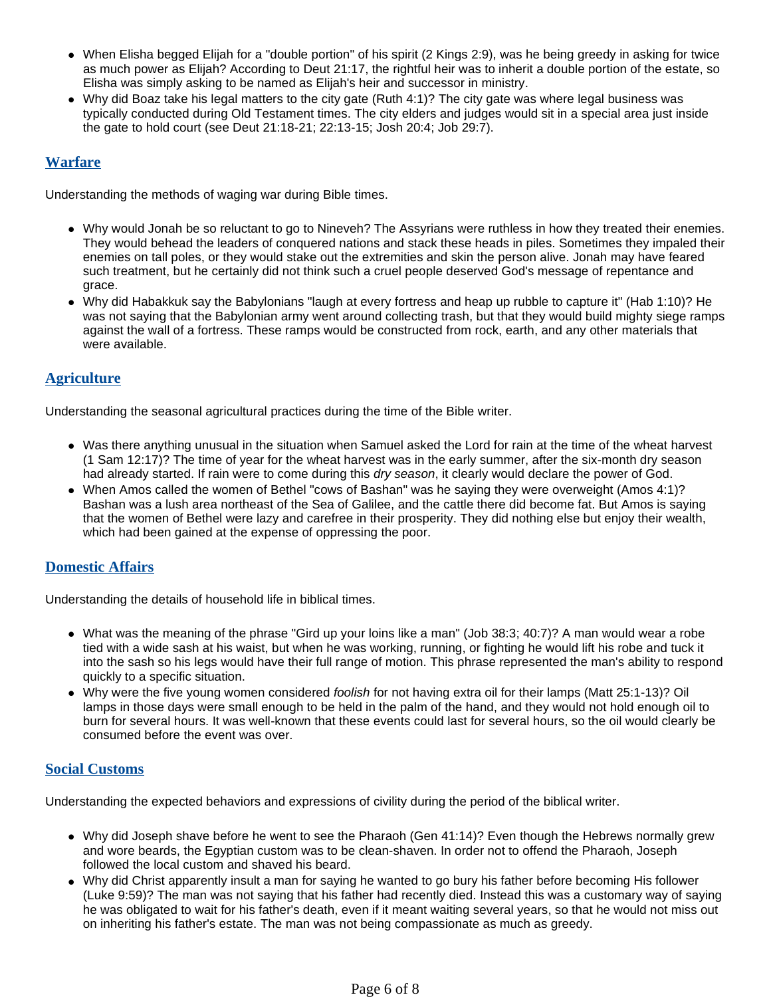- When Elisha begged Elijah for a "double portion" of his spirit (2 Kings 2:9), was he being greedy in asking for twice as much power as Elijah? According to Deut 21:17, the rightful heir was to inherit a double portion of the estate, so Elisha was simply asking to be named as Elijah's heir and successor in ministry.
- Why did Boaz take his legal matters to the city gate (Ruth 4:1)? The city gate was where legal business was typically conducted during Old Testament times. The city elders and judges would sit in a special area just inside the gate to hold court (see Deut 21:18-21; 22:13-15; Josh 20:4; Job 29:7).

#### **Warfare**

Understanding the methods of waging war during Bible times.

- Why would Jonah be so reluctant to go to Nineveh? The Assyrians were ruthless in how they treated their enemies. They would behead the leaders of conquered nations and stack these heads in piles. Sometimes they impaled their enemies on tall poles, or they would stake out the extremities and skin the person alive. Jonah may have feared such treatment, but he certainly did not think such a cruel people deserved God's message of repentance and grace.
- Why did Habakkuk say the Babylonians "laugh at every fortress and heap up rubble to capture it" (Hab 1:10)? He was not saying that the Babylonian army went around collecting trash, but that they would build mighty siege ramps against the wall of a fortress. These ramps would be constructed from rock, earth, and any other materials that were available.

#### **Agriculture**

Understanding the seasonal agricultural practices during the time of the Bible writer.

- Was there anything unusual in the situation when Samuel asked the Lord for rain at the time of the wheat harvest (1 Sam 12:17)? The time of year for the wheat harvest was in the early summer, after the six-month dry season had already started. If rain were to come during this dry season, it clearly would declare the power of God.
- When Amos called the women of Bethel "cows of Bashan" was he saying they were overweight (Amos 4:1)? Bashan was a lush area northeast of the Sea of Galilee, and the cattle there did become fat. But Amos is saying that the women of Bethel were lazy and carefree in their prosperity. They did nothing else but enjoy their wealth, which had been gained at the expense of oppressing the poor.

#### **Domestic Affairs**

Understanding the details of household life in biblical times.

- What was the meaning of the phrase "Gird up your loins like a man" (Job 38:3; 40:7)? A man would wear a robe tied with a wide sash at his waist, but when he was working, running, or fighting he would lift his robe and tuck it into the sash so his legs would have their full range of motion. This phrase represented the man's ability to respond quickly to a specific situation.
- Why were the five young women considered foolish for not having extra oil for their lamps (Matt 25:1-13)? Oil lamps in those days were small enough to be held in the palm of the hand, and they would not hold enough oil to burn for several hours. It was well-known that these events could last for several hours, so the oil would clearly be consumed before the event was over.

#### **Social Customs**

Understanding the expected behaviors and expressions of civility during the period of the biblical writer.

- Why did Joseph shave before he went to see the Pharaoh (Gen 41:14)? Even though the Hebrews normally grew and wore beards, the Egyptian custom was to be clean-shaven. In order not to offend the Pharaoh, Joseph followed the local custom and shaved his beard.
- Why did Christ apparently insult a man for saying he wanted to go bury his father before becoming His follower (Luke 9:59)? The man was not saying that his father had recently died. Instead this was a customary way of saying he was obligated to wait for his father's death, even if it meant waiting several years, so that he would not miss out on inheriting his father's estate. The man was not being compassionate as much as greedy.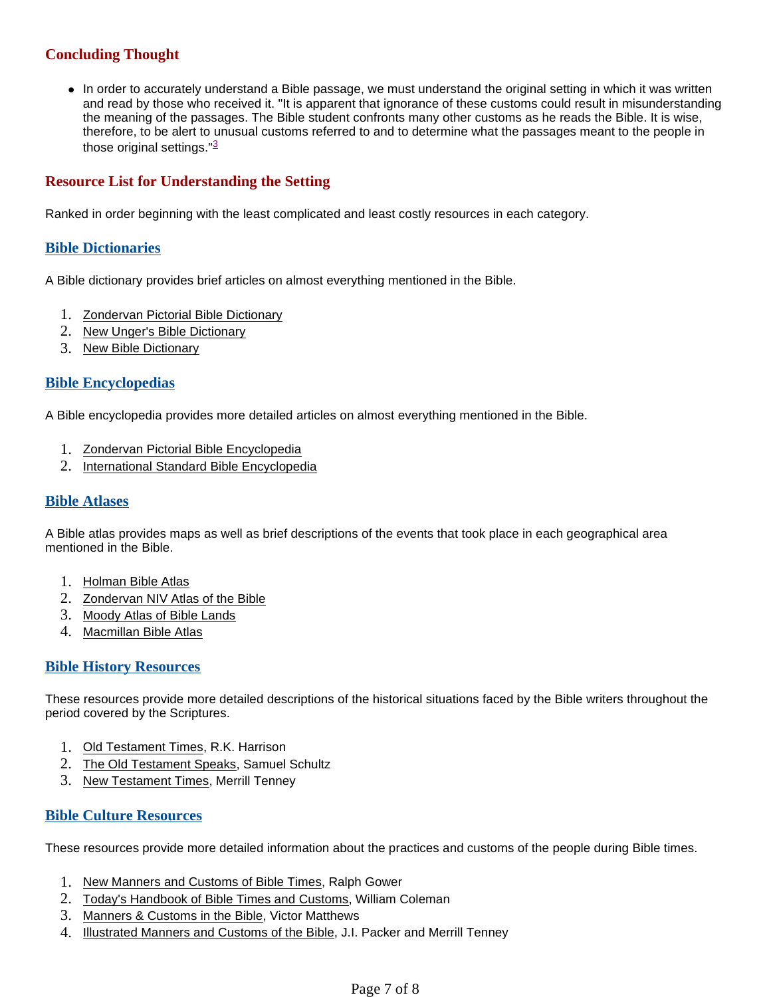# **Concluding Thought**

• In order to accurately understand a Bible passage, we must understand the original setting in which it was written and read by those who received it. "It is apparent that ignorance of these customs could result in misunderstanding the meaning of the passages. The Bible student confronts many other customs as he reads the Bible. It is wise, therefore, to be alert to unusual customs referred to and to determine what the passages meant to the people in those original settings."<sup>3</sup>

#### **Resource List for Understanding the Setting**

Ranked in order beginning with the least complicated and least costly resources in each category.

#### **Bible Dictionaries**

A Bible dictionary provides brief articles on almost everything mentioned in the Bible.

- 1. Zondervan Pictorial Bible Dictionary
- 2. New Unger's Bible Dictionary
- 3. New Bible Dictionary

#### **Bible Encyclopedias**

A Bible encyclopedia provides more detailed articles on almost everything mentioned in the Bible.

- 1. Zondervan Pictorial Bible Encyclopedia
- 2. International Standard Bible Encyclopedia

#### **Bible Atlases**

A Bible atlas provides maps as well as brief descriptions of the events that took place in each geographical area mentioned in the Bible.

- 1. Holman Bible Atlas
- 2. Zondervan NIV Atlas of the Bible
- 3. Moody Atlas of Bible Lands
- 4. Macmillan Bible Atlas

#### **Bible History Resources**

These resources provide more detailed descriptions of the historical situations faced by the Bible writers throughout the period covered by the Scriptures.

- 1. Old Testament Times, R.K. Harrison
- 2. The Old Testament Speaks, Samuel Schultz
- 3. New Testament Times, Merrill Tenney

#### **Bible Culture Resources**

These resources provide more detailed information about the practices and customs of the people during Bible times.

- 1. New Manners and Customs of Bible Times, Ralph Gower
- 2. Today's Handbook of Bible Times and Customs, William Coleman
- 3. Manners & Customs in the Bible, Victor Matthews
- 4. Illustrated Manners and Customs of the Bible, J.I. Packer and Merrill Tenney